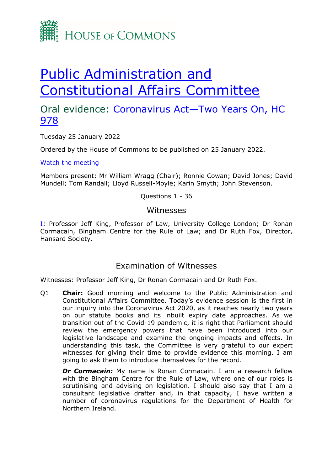

# [Public](https://committees.parliament.uk/committee/327/public-administration-and-constitutional-affairs-committee/) [Administration](https://committees.parliament.uk/committee/327/public-administration-and-constitutional-affairs-committee/) [and](https://committees.parliament.uk/committee/327/public-administration-and-constitutional-affairs-committee/) [Constitutional](https://committees.parliament.uk/committee/327/public-administration-and-constitutional-affairs-committee/) [Affairs](https://committees.parliament.uk/committee/327/public-administration-and-constitutional-affairs-committee/) [Committee](https://committees.parliament.uk/committee/327/public-administration-and-constitutional-affairs-committee/)

## Oral evidence: [Coronavirus](https://committees.parliament.uk/work/1718/coronavirus-act-2020-two-years-on/) [Act—Two](https://committees.parliament.uk/work/1718/coronavirus-act-2020-two-years-on/) [Years](https://committees.parliament.uk/work/1718/coronavirus-act-2020-two-years-on/) [On,](https://committees.parliament.uk/work/1718/coronavirus-act-2020-two-years-on/) [HC](https://committees.parliament.uk/work/1718/coronavirus-act-2020-two-years-on/) [978](https://committees.parliament.uk/work/1718/coronavirus-act-2020-two-years-on/)

Tuesday 25 January 2022

Ordered by the House of Commons to be published on 25 January 2022.

[Watch](https://www.parliamentlive.tv/Event/Index/915d2a67-c6c9-4ab1-85e7-c2e760d88964) [the](https://www.parliamentlive.tv/Event/Index/915d2a67-c6c9-4ab1-85e7-c2e760d88964) [meeting](https://www.parliamentlive.tv/Event/Index/915d2a67-c6c9-4ab1-85e7-c2e760d88964)

Members present: Mr William Wragg (Chair); Ronnie Cowan; David Jones; David Mundell; Tom Randall; Lloyd Russell-Moyle; Karin Smyth; John Stevenson.

Questions 1 - 36

#### Witnesses

[I:](#page-0-0) Professor Jeff King, Professor of Law, University College London; Dr Ronan Cormacain, Bingham Centre for the Rule of Law; and Dr Ruth Fox, Director, Hansard Society.

### Examination of Witnesses

<span id="page-0-0"></span>Witnesses: Professor Jeff King, Dr Ronan Cormacain and Dr Ruth Fox.

Q1 **Chair:** Good morning and welcome to the Public Administration and Constitutional Affairs Committee. Today's evidence session is the first in our inquiry into the Coronavirus Act 2020, as it reaches nearly two years on our statute books and its inbuilt expiry date approaches. As we transition out of the Covid-19 pandemic, it is right that Parliament should review the emergency powers that have been introduced into our legislative landscape and examine the ongoing impacts and effects. In understanding this task, the Committee is very grateful to our expert witnesses for giving their time to provide evidence this morning. I am going to ask them to introduce themselves for the record.

*Dr Cormacain:* My name is Ronan Cormacain. I am a research fellow with the Bingham Centre for the Rule of Law, where one of our roles is scrutinising and advising on legislation. I should also say that I am a consultant legislative drafter and, in that capacity, I have written a number of coronavirus regulations for the Department of Health for Northern Ireland.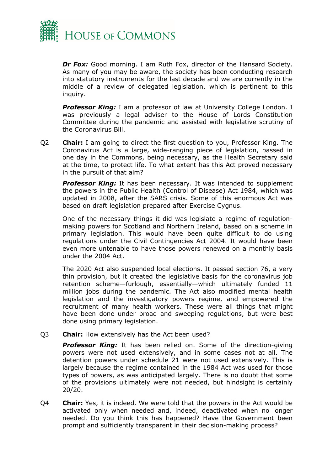

*Dr Fox:* Good morning. I am Ruth Fox, director of the Hansard Society. As many of you may be aware, the society has been conducting research into statutory instruments for the last decade and we are currently in the middle of a review of delegated legislation, which is pertinent to this inquiry.

*Professor King:* I am a professor of law at University College London. I was previously a legal adviser to the House of Lords Constitution Committee during the pandemic and assisted with legislative scrutiny of the Coronavirus Bill.

Q2 **Chair:** I am going to direct the first question to you, Professor King. The Coronavirus Act is a large, wide-ranging piece of legislation, passed in one day in the Commons, being necessary, as the Health Secretary said at the time, to protect life. To what extent has this Act proved necessary in the pursuit of that aim?

**Professor King:** It has been necessary. It was intended to supplement the powers in the Public Health (Control of Disease) Act 1984, which was updated in 2008, after the SARS crisis. Some of this enormous Act was based on draft legislation prepared after Exercise Cygnus.

One of the necessary things it did was legislate a regime of regulationmaking powers for Scotland and Northern Ireland, based on a scheme in primary legislation. This would have been quite difficult to do using regulations under the Civil Contingencies Act 2004. It would have been even more untenable to have those powers renewed on a monthly basis under the 2004 Act.

The 2020 Act also suspended local elections. It passed section 76, a very thin provision, but it created the legislative basis for the coronavirus job retention scheme—furlough, essentially—which ultimately funded 11 million jobs during the pandemic. The Act also modified mental health legislation and the investigatory powers regime, and empowered the recruitment of many health workers. These were all things that might have been done under broad and sweeping regulations, but were best done using primary legislation.

Q3 **Chair:** How extensively has the Act been used?

*Professor King:* It has been relied on. Some of the direction-giving powers were not used extensively, and in some cases not at all. The detention powers under schedule 21 were not used extensively. This is largely because the regime contained in the 1984 Act was used for those types of powers, as was anticipated largely. There is no doubt that some of the provisions ultimately were not needed, but hindsight is certainly 20/20.

Q4 **Chair:** Yes, it is indeed. We were told that the powers in the Act would be activated only when needed and, indeed, deactivated when no longer needed. Do you think this has happened? Have the Government been prompt and sufficiently transparent in their decision-making process?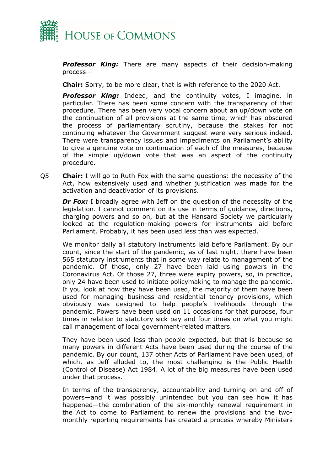

*Professor King:* There are many aspects of their decision-making process—

**Chair:** Sorry, to be more clear, that is with reference to the 2020 Act.

*Professor King:* Indeed, and the continuity votes, I imagine, in particular. There has been some concern with the transparency of that procedure. There has been very vocal concern about an up/down vote on the continuation of all provisions at the same time, which has obscured the process of parliamentary scrutiny, because the stakes for not continuing whatever the Government suggest were very serious indeed. There were transparency issues and impediments on Parliament's ability to give a genuine vote on continuation of each of the measures, because of the simple up/down vote that was an aspect of the continuity procedure.

Q5 **Chair:** I will go to Ruth Fox with the same questions: the necessity of the Act, how extensively used and whether justification was made for the activation and deactivation of its provisions.

**Dr Fox:** I broadly agree with Jeff on the question of the necessity of the legislation. I cannot comment on its use in terms of guidance, directions, charging powers and so on, but at the Hansard Society we particularly looked at the regulation-making powers for instruments laid before Parliament. Probably, it has been used less than was expected.

We monitor daily all statutory instruments laid before Parliament. By our count, since the start of the pandemic, as of last night, there have been 565 statutory instruments that in some way relate to management of the pandemic. Of those, only 27 have been laid using powers in the Coronavirus Act. Of those 27, three were expiry powers, so, in practice, only 24 have been used to initiate policymaking to manage the pandemic. If you look at how they have been used, the majority of them have been used for managing business and residential tenancy provisions, which obviously was designed to help people's livelihoods through the pandemic. Powers have been used on 11 occasions for that purpose, four times in relation to statutory sick pay and four times on what you might call management of local government-related matters.

They have been used less than people expected, but that is because so many powers in different Acts have been used during the course of the pandemic. By our count, 137 other Acts of Parliament have been used, of which, as Jeff alluded to, the most challenging is the Public Health (Control of Disease) Act 1984. A lot of the big measures have been used under that process.

In terms of the transparency, accountability and turning on and off of powers—and it was possibly unintended but you can see how it has happened—the combination of the six-monthly renewal requirement in the Act to come to Parliament to renew the provisions and the twomonthly reporting requirements has created a process whereby Ministers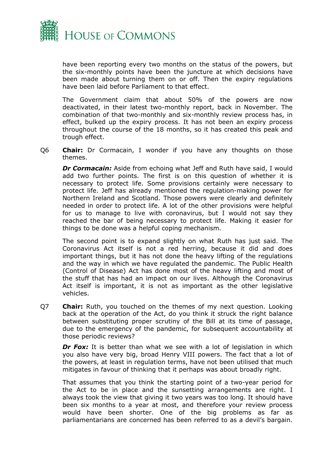

have been reporting every two months on the status of the powers, but the six-monthly points have been the juncture at which decisions have been made about turning them on or off. Then the expiry regulations have been laid before Parliament to that effect.

The Government claim that about 50% of the powers are now deactivated, in their latest two-monthly report, back in November. The combination of that two-monthly and six-monthly review process has, in effect, bulked up the expiry process. It has not been an expiry process throughout the course of the 18 months, so it has created this peak and trough effect.

Q6 **Chair:** Dr Cormacain, I wonder if you have any thoughts on those themes.

*Dr Cormacain:* Aside from echoing what Jeff and Ruth have said, I would add two further points. The first is on this question of whether it is necessary to protect life. Some provisions certainly were necessary to protect life. Jeff has already mentioned the regulation-making power for Northern Ireland and Scotland. Those powers were clearly and definitely needed in order to protect life. A lot of the other provisions were helpful for us to manage to live with coronavirus, but I would not say they reached the bar of being necessary to protect life. Making it easier for things to be done was a helpful coping mechanism.

The second point is to expand slightly on what Ruth has just said. The Coronavirus Act itself is not a red herring, because it did and does important things, but it has not done the heavy lifting of the regulations and the way in which we have regulated the pandemic. The Public Health (Control of Disease) Act has done most of the heavy lifting and most of the stuff that has had an impact on our lives. Although the Coronavirus Act itself is important, it is not as important as the other legislative vehicles.

Q7 **Chair:** Ruth, you touched on the themes of my next question. Looking back at the operation of the Act, do you think it struck the right balance between substituting proper scrutiny of the Bill at its time of passage, due to the emergency of the pandemic, for subsequent accountability at those periodic reviews?

*Dr Fox:* It is better than what we see with a lot of legislation in which you also have very big, broad Henry VIII powers. The fact that a lot of the powers, at least in regulation terms, have not been utilised that much mitigates in favour of thinking that it perhaps was about broadly right.

That assumes that you think the starting point of a two-year period for the Act to be in place and the sunsetting arrangements are right. I always took the view that giving it two years was too long. It should have been six months to a year at most, and therefore your review process would have been shorter. One of the big problems as far as parliamentarians are concerned has been referred to as a devil's bargain.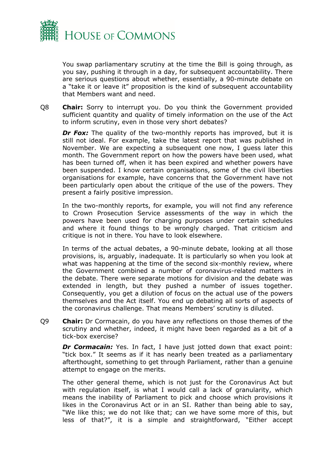

You swap parliamentary scrutiny at the time the Bill is going through, as you say, pushing it through in a day, for subsequent accountability. There are serious questions about whether, essentially, a 90-minute debate on a "take it or leave it" proposition is the kind of subsequent accountability that Members want and need.

Q8 **Chair:** Sorry to interrupt you. Do you think the Government provided sufficient quantity and quality of timely information on the use of the Act to inform scrutiny, even in those very short debates?

*Dr Fox:* The quality of the two-monthly reports has improved, but it is still not ideal. For example, take the latest report that was published in November. We are expecting a subsequent one now, I guess later this month. The Government report on how the powers have been used, what has been turned off, when it has been expired and whether powers have been suspended. I know certain organisations, some of the civil liberties organisations for example, have concerns that the Government have not been particularly open about the critique of the use of the powers. They present a fairly positive impression.

In the two-monthly reports, for example, you will not find any reference to Crown Prosecution Service assessments of the way in which the powers have been used for charging purposes under certain schedules and where it found things to be wrongly charged. That criticism and critique is not in there. You have to look elsewhere.

In terms of the actual debates, a 90-minute debate, looking at all those provisions, is, arguably, inadequate. It is particularly so when you look at what was happening at the time of the second six-monthly review, where the Government combined a number of coronavirus-related matters in the debate. There were separate motions for division and the debate was extended in length, but they pushed a number of issues together. Consequently, you get a dilution of focus on the actual use of the powers themselves and the Act itself. You end up debating all sorts of aspects of the coronavirus challenge. That means Members' scrutiny is diluted.

Q9 **Chair:** Dr Cormacain, do you have any reflections on those themes of the scrutiny and whether, indeed, it might have been regarded as a bit of a tick-box exercise?

**Dr Cormacain:** Yes. In fact, I have just jotted down that exact point: "tick box." It seems as if it has nearly been treated as a parliamentary afterthought, something to get through Parliament, rather than a genuine attempt to engage on the merits.

The other general theme, which is not just for the Coronavirus Act but with regulation itself, is what I would call a lack of granularity, which means the inability of Parliament to pick and choose which provisions it likes in the Coronavirus Act or in an SI. Rather than being able to say, "We like this; we do not like that; can we have some more of this, but less of that?", it is a simple and straightforward, "Either accept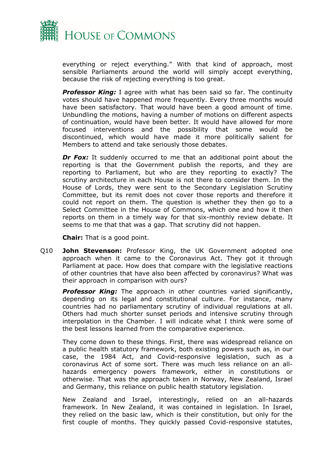

everything or reject everything." With that kind of approach, most sensible Parliaments around the world will simply accept everything, because the risk of rejecting everything is too great.

*Professor King:* I agree with what has been said so far. The continuity votes should have happened more frequently. Every three months would have been satisfactory. That would have been a good amount of time. Unbundling the motions, having a number of motions on different aspects of continuation, would have been better. It would have allowed for more focused interventions and the possibility that some would be discontinued, which would have made it more politically salient for Members to attend and take seriously those debates.

*Dr Fox:* It suddenly occurred to me that an additional point about the reporting is that the Government publish the reports, and they are reporting to Parliament, but who are they reporting to exactly? The scrutiny architecture in each House is not there to consider them. In the House of Lords, they were sent to the Secondary Legislation Scrutiny Committee, but its remit does not cover those reports and therefore it could not report on them. The question is whether they then go to a Select Committee in the House of Commons, which one and how it then reports on them in a timely way for that six-monthly review debate. It seems to me that that was a gap. That scrutiny did not happen.

**Chair:** That is a good point.

Q10 **John Stevenson:** Professor King, the UK Government adopted one approach when it came to the Coronavirus Act. They got it through Parliament at pace. How does that compare with the legislative reactions of other countries that have also been affected by coronavirus? What was their approach in comparison with ours?

**Professor King:** The approach in other countries varied significantly, depending on its legal and constitutional culture. For instance, many countries had no parliamentary scrutiny of individual regulations at all. Others had much shorter sunset periods and intensive scrutiny through interpolation in the Chamber. I will indicate what I think were some of the best lessons learned from the comparative experience.

They come down to these things. First, there was widespread reliance on a public health statutory framework, both existing powers such as, in our case, the 1984 Act, and Covid-responsive legislation, such as a coronavirus Act of some sort. There was much less reliance on an allhazards emergency powers framework, either in constitutions or otherwise. That was the approach taken in Norway, New Zealand, Israel and Germany, this reliance on public health statutory legislation.

New Zealand and Israel, interestingly, relied on an all-hazards framework. In New Zealand, it was contained in legislation. In Israel, they relied on the basic law, which is their constitution, but only for the first couple of months. They quickly passed Covid-responsive statutes,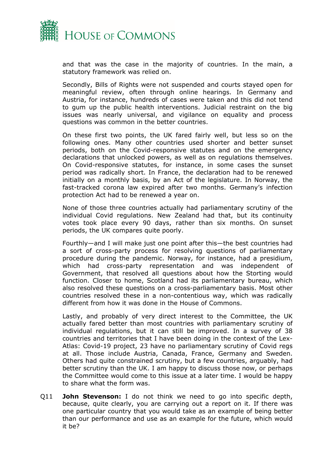

and that was the case in the majority of countries. In the main, a statutory framework was relied on.

Secondly, Bills of Rights were not suspended and courts stayed open for meaningful review, often through online hearings. In Germany and Austria, for instance, hundreds of cases were taken and this did not tend to gum up the public health interventions. Judicial restraint on the big issues was nearly universal, and vigilance on equality and process questions was common in the better countries.

On these first two points, the UK fared fairly well, but less so on the following ones. Many other countries used shorter and better sunset periods, both on the Covid-responsive statutes and on the emergency declarations that unlocked powers, as well as on regulations themselves. On Covid-responsive statutes, for instance, in some cases the sunset period was radically short. In France, the declaration had to be renewed initially on a monthly basis, by an Act of the legislature. In Norway, the fast-tracked corona law expired after two months. Germany's infection protection Act had to be renewed a year on.

None of those three countries actually had parliamentary scrutiny of the individual Covid regulations. New Zealand had that, but its continuity votes took place every 90 days, rather than six months. On sunset periods, the UK compares quite poorly.

Fourthly—and I will make just one point after this—the best countries had a sort of cross-party process for resolving questions of parliamentary procedure during the pandemic. Norway, for instance, had a presidium, which had cross-party representation and was independent of Government, that resolved all questions about how the Storting would function. Closer to home, Scotland had its parliamentary bureau, which also resolved these questions on a cross-parliamentary basis. Most other countries resolved these in a non-contentious way, which was radically different from how it was done in the House of Commons.

Lastly, and probably of very direct interest to the Committee, the UK actually fared better than most countries with parliamentary scrutiny of individual regulations, but it can still be improved. In a survey of 38 countries and territories that I have been doing in the context of the Lex-Atlas: Covid-19 project, 23 have no parliamentary scrutiny of Covid regs at all. Those include Austria, Canada, France, Germany and Sweden. Others had quite constrained scrutiny, but a few countries, arguably, had better scrutiny than the UK. I am happy to discuss those now, or perhaps the Committee would come to this issue at a later time. I would be happy to share what the form was.

Q11 **John Stevenson:** I do not think we need to go into specific depth, because, quite clearly, you are carrying out a report on it. If there was one particular country that you would take as an example of being better than our performance and use as an example for the future, which would it be?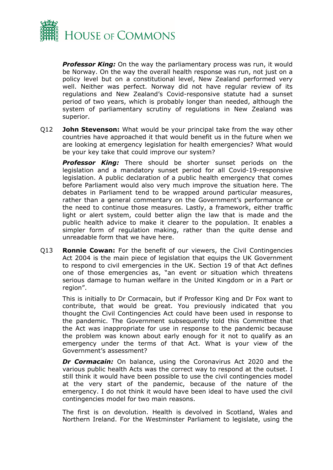

*Professor King:* On the way the parliamentary process was run, it would be Norway. On the way the overall health response was run, not just on a policy level but on a constitutional level, New Zealand performed very well. Neither was perfect. Norway did not have regular review of its regulations and New Zealand's Covid-responsive statute had a sunset period of two years, which is probably longer than needed, although the system of parliamentary scrutiny of regulations in New Zealand was superior.

Q12 **John Stevenson:** What would be your principal take from the way other countries have approached it that would benefit us in the future when we are looking at emergency legislation for health emergencies? What would be your key take that could improve our system?

*Professor King:* There should be shorter sunset periods on the legislation and a mandatory sunset period for all Covid-19-responsive legislation. A public declaration of a public health emergency that comes before Parliament would also very much improve the situation here. The debates in Parliament tend to be wrapped around particular measures, rather than a general commentary on the Government's performance or the need to continue those measures. Lastly, a framework, either traffic light or alert system, could better align the law that is made and the public health advice to make it clearer to the population. It enables a simpler form of regulation making, rather than the quite dense and unreadable form that we have here.

Q13 **Ronnie Cowan:** For the benefit of our viewers, the Civil Contingencies Act 2004 is the main piece of legislation that equips the UK Government to respond to civil emergencies in the UK. Section 19 of that Act defines one of those emergencies as, "an event or situation which threatens serious damage to human welfare in the United Kingdom or in a Part or region".

This is initially to Dr Cormacain, but if Professor King and Dr Fox want to contribute, that would be great. You previously indicated that you thought the Civil Contingencies Act could have been used in response to the pandemic. The Government subsequently told this Committee that the Act was inappropriate for use in response to the pandemic because the problem was known about early enough for it not to qualify as an emergency under the terms of that Act. What is your view of the Government's assessment?

**Dr Cormacain:** On balance, using the Coronavirus Act 2020 and the various public health Acts was the correct way to respond at the outset. I still think it would have been possible to use the civil contingencies model at the very start of the pandemic, because of the nature of the emergency. I do not think it would have been ideal to have used the civil contingencies model for two main reasons.

The first is on devolution. Health is devolved in Scotland, Wales and Northern Ireland. For the Westminster Parliament to legislate, using the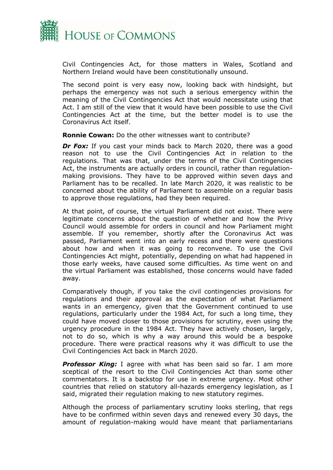

Civil Contingencies Act, for those matters in Wales, Scotland and Northern Ireland would have been constitutionally unsound.

The second point is very easy now, looking back with hindsight, but perhaps the emergency was not such a serious emergency within the meaning of the Civil Contingencies Act that would necessitate using that Act. I am still of the view that it would have been possible to use the Civil Contingencies Act at the time, but the better model is to use the Coronavirus Act itself.

**Ronnie Cowan:** Do the other witnesses want to contribute?

**Dr Fox:** If you cast your minds back to March 2020, there was a good reason not to use the Civil Contingencies Act in relation to the regulations. That was that, under the terms of the Civil Contingencies Act, the instruments are actually orders in council, rather than regulationmaking provisions. They have to be approved within seven days and Parliament has to be recalled. In late March 2020, it was realistic to be concerned about the ability of Parliament to assemble on a regular basis to approve those regulations, had they been required.

At that point, of course, the virtual Parliament did not exist. There were legitimate concerns about the question of whether and how the Privy Council would assemble for orders in council and how Parliament might assemble. If you remember, shortly after the Coronavirus Act was passed, Parliament went into an early recess and there were questions about how and when it was going to reconvene. To use the Civil Contingencies Act might, potentially, depending on what had happened in those early weeks, have caused some difficulties. As time went on and the virtual Parliament was established, those concerns would have faded away.

Comparatively though, if you take the civil contingencies provisions for regulations and their approval as the expectation of what Parliament wants in an emergency, given that the Government continued to use regulations, particularly under the 1984 Act, for such a long time, they could have moved closer to those provisions for scrutiny, even using the urgency procedure in the 1984 Act. They have actively chosen, largely, not to do so, which is why a way around this would be a bespoke procedure. There were practical reasons why it was difficult to use the Civil Contingencies Act back in March 2020.

**Professor King:** I agree with what has been said so far. I am more sceptical of the resort to the Civil Contingencies Act than some other commentators. It is a backstop for use in extreme urgency. Most other countries that relied on statutory all-hazards emergency legislation, as I said, migrated their regulation making to new statutory regimes.

Although the process of parliamentary scrutiny looks sterling, that regs have to be confirmed within seven days and renewed every 30 days, the amount of regulation-making would have meant that parliamentarians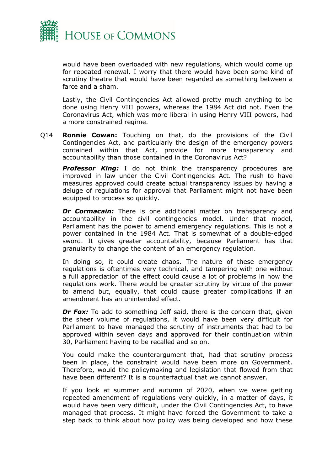

would have been overloaded with new regulations, which would come up for repeated renewal. I worry that there would have been some kind of scrutiny theatre that would have been regarded as something between a farce and a sham.

Lastly, the Civil Contingencies Act allowed pretty much anything to be done using Henry VIII powers, whereas the 1984 Act did not. Even the Coronavirus Act, which was more liberal in using Henry VIII powers, had a more constrained regime.

Q14 **Ronnie Cowan:** Touching on that, do the provisions of the Civil Contingencies Act, and particularly the design of the emergency powers contained within that Act, provide for more transparency and accountability than those contained in the Coronavirus Act?

**Professor King:** I do not think the transparency procedures are improved in law under the Civil Contingencies Act. The rush to have measures approved could create actual transparency issues by having a deluge of regulations for approval that Parliament might not have been equipped to process so quickly.

**Dr Cormacain:** There is one additional matter on transparency and accountability in the civil contingencies model. Under that model, Parliament has the power to amend emergency regulations. This is not a power contained in the 1984 Act. That is somewhat of a double-edged sword. It gives greater accountability, because Parliament has that granularity to change the content of an emergency regulation.

In doing so, it could create chaos. The nature of these emergency regulations is oftentimes very technical, and tampering with one without a full appreciation of the effect could cause a lot of problems in how the regulations work. There would be greater scrutiny by virtue of the power to amend but, equally, that could cause greater complications if an amendment has an unintended effect.

**Dr Fox:** To add to something Jeff said, there is the concern that, given the sheer volume of regulations, it would have been very difficult for Parliament to have managed the scrutiny of instruments that had to be approved within seven days and approved for their continuation within 30, Parliament having to be recalled and so on.

You could make the counterargument that, had that scrutiny process been in place, the constraint would have been more on Government. Therefore, would the policymaking and legislation that flowed from that have been different? It is a counterfactual that we cannot answer.

If you look at summer and autumn of 2020, when we were getting repeated amendment of regulations very quickly, in a matter of days, it would have been very difficult, under the Civil Contingencies Act, to have managed that process. It might have forced the Government to take a step back to think about how policy was being developed and how these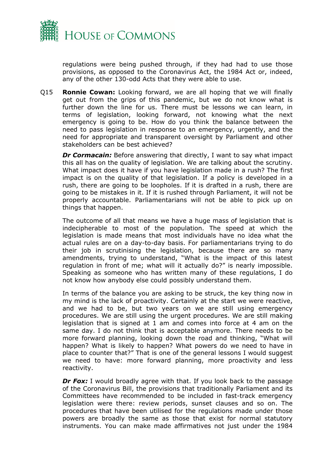

regulations were being pushed through, if they had had to use those provisions, as opposed to the Coronavirus Act, the 1984 Act or, indeed, any of the other 130-odd Acts that they were able to use.

Q15 **Ronnie Cowan:** Looking forward, we are all hoping that we will finally get out from the grips of this pandemic, but we do not know what is further down the line for us. There must be lessons we can learn, in terms of legislation, looking forward, not knowing what the next emergency is going to be. How do you think the balance between the need to pass legislation in response to an emergency, urgently, and the need for appropriate and transparent oversight by Parliament and other stakeholders can be best achieved?

*Dr Cormacain:* Before answering that directly, I want to say what impact this all has on the quality of legislation. We are talking about the scrutiny. What impact does it have if you have legislation made in a rush? The first impact is on the quality of that legislation. If a policy is developed in a rush, there are going to be loopholes. If it is drafted in a rush, there are going to be mistakes in it. If it is rushed through Parliament, it will not be properly accountable. Parliamentarians will not be able to pick up on things that happen.

The outcome of all that means we have a huge mass of legislation that is indecipherable to most of the population. The speed at which the legislation is made means that most individuals have no idea what the actual rules are on a day-to-day basis. For parliamentarians trying to do their job in scrutinising the legislation, because there are so many amendments, trying to understand, "What is the impact of this latest regulation in front of me; what will it actually do?" is nearly impossible. Speaking as someone who has written many of these regulations, I do not know how anybody else could possibly understand them.

In terms of the balance you are asking to be struck, the key thing now in my mind is the lack of proactivity. Certainly at the start we were reactive, and we had to be, but two years on we are still using emergency procedures. We are still using the urgent procedures. We are still making legislation that is signed at 1 am and comes into force at 4 am on the same day. I do not think that is acceptable anymore. There needs to be more forward planning, looking down the road and thinking, "What will happen? What is likely to happen? What powers do we need to have in place to counter that?" That is one of the general lessons I would suggest we need to have: more forward planning, more proactivity and less reactivity.

**Dr Fox:** I would broadly agree with that. If you look back to the passage of the Coronavirus Bill, the provisions that traditionally Parliament and its Committees have recommended to be included in fast-track emergency legislation were there: review periods, sunset clauses and so on. The procedures that have been utilised for the regulations made under those powers are broadly the same as those that exist for normal statutory instruments. You can make made affirmatives not just under the 1984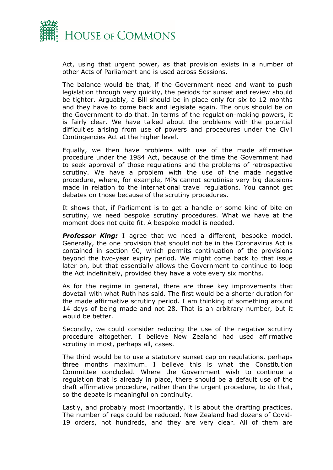

Act, using that urgent power, as that provision exists in a number of other Acts of Parliament and is used across Sessions.

The balance would be that, if the Government need and want to push legislation through very quickly, the periods for sunset and review should be tighter. Arguably, a Bill should be in place only for six to 12 months and they have to come back and legislate again. The onus should be on the Government to do that. In terms of the regulation-making powers, it is fairly clear. We have talked about the problems with the potential difficulties arising from use of powers and procedures under the Civil Contingencies Act at the higher level.

Equally, we then have problems with use of the made affirmative procedure under the 1984 Act, because of the time the Government had to seek approval of those regulations and the problems of retrospective scrutiny. We have a problem with the use of the made negative procedure, where, for example, MPs cannot scrutinise very big decisions made in relation to the international travel regulations. You cannot get debates on those because of the scrutiny procedures.

It shows that, if Parliament is to get a handle or some kind of bite on scrutiny, we need bespoke scrutiny procedures. What we have at the moment does not quite fit. A bespoke model is needed.

*Professor King:* I agree that we need a different, bespoke model. Generally, the one provision that should not be in the Coronavirus Act is contained in section 90, which permits continuation of the provisions beyond the two-year expiry period. We might come back to that issue later on, but that essentially allows the Government to continue to loop the Act indefinitely, provided they have a vote every six months.

As for the regime in general, there are three key improvements that dovetail with what Ruth has said. The first would be a shorter duration for the made affirmative scrutiny period. I am thinking of something around 14 days of being made and not 28. That is an arbitrary number, but it would be better.

Secondly, we could consider reducing the use of the negative scrutiny procedure altogether. I believe New Zealand had used affirmative scrutiny in most, perhaps all, cases.

The third would be to use a statutory sunset cap on regulations, perhaps three months maximum. I believe this is what the Constitution Committee concluded. Where the Government wish to continue a regulation that is already in place, there should be a default use of the draft affirmative procedure, rather than the urgent procedure, to do that, so the debate is meaningful on continuity.

Lastly, and probably most importantly, it is about the drafting practices. The number of regs could be reduced. New Zealand had dozens of Covid-19 orders, not hundreds, and they are very clear. All of them are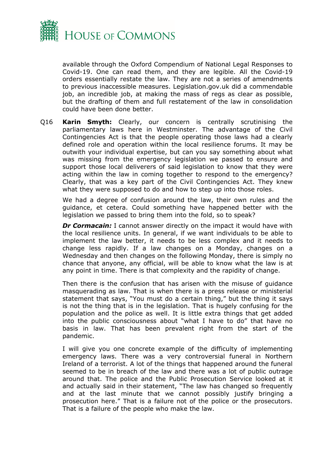

available through the Oxford Compendium of National Legal Responses to Covid-19. One can read them, and they are legible. All the Covid-19 orders essentially restate the law. They are not a series of amendments to previous inaccessible measures. Legislation.gov.uk did a commendable job, an incredible job, at making the mass of regs as clear as possible, but the drafting of them and full restatement of the law in consolidation could have been done better.

Q16 **Karin Smyth:** Clearly, our concern is centrally scrutinising the parliamentary laws here in Westminster. The advantage of the Civil Contingencies Act is that the people operating those laws had a clearly defined role and operation within the local resilience forums. It may be outwith your individual expertise, but can you say something about what was missing from the emergency legislation we passed to ensure and support those local deliverers of said legislation to know that they were acting within the law in coming together to respond to the emergency? Clearly, that was a key part of the Civil Contingencies Act. They knew what they were supposed to do and how to step up into those roles.

We had a degree of confusion around the law, their own rules and the guidance, et cetera. Could something have happened better with the legislation we passed to bring them into the fold, so to speak?

**Dr Cormacain:** I cannot answer directly on the impact it would have with the local resilience units. In general, if we want individuals to be able to implement the law better, it needs to be less complex and it needs to change less rapidly. If a law changes on a Monday, changes on a Wednesday and then changes on the following Monday, there is simply no chance that anyone, any official, will be able to know what the law is at any point in time. There is that complexity and the rapidity of change.

Then there is the confusion that has arisen with the misuse of guidance masquerading as law. That is when there is a press release or ministerial statement that says, "You must do a certain thing," but the thing it says is not the thing that is in the legislation. That is hugely confusing for the population and the police as well. It is little extra things that get added into the public consciousness about "what I have to do" that have no basis in law. That has been prevalent right from the start of the pandemic.

I will give you one concrete example of the difficulty of implementing emergency laws. There was a very controversial funeral in Northern Ireland of a terrorist. A lot of the things that happened around the funeral seemed to be in breach of the law and there was a lot of public outrage around that. The police and the Public Prosecution Service looked at it and actually said in their statement, "The law has changed so frequently and at the last minute that we cannot possibly justify bringing a prosecution here." That is a failure not of the police or the prosecutors. That is a failure of the people who make the law.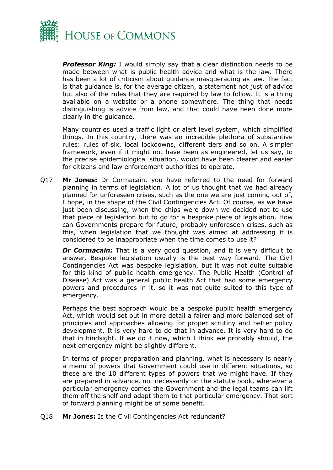

*Professor King:* I would simply say that a clear distinction needs to be made between what is public health advice and what is the law. There has been a lot of criticism about guidance masquerading as law. The fact is that guidance is, for the average citizen, a statement not just of advice but also of the rules that they are required by law to follow. It is a thing available on a website or a phone somewhere. The thing that needs distinguishing is advice from law, and that could have been done more clearly in the guidance.

Many countries used a traffic light or alert level system, which simplified things. In this country, there was an incredible plethora of substantive rules: rules of six, local lockdowns, different tiers and so on. A simpler framework, even if it might not have been as engineered, let us say, to the precise epidemiological situation, would have been clearer and easier for citizens and law enforcement authorities to operate.

Q17 **Mr Jones:** Dr Cormacain, you have referred to the need for forward planning in terms of legislation. A lot of us thought that we had already planned for unforeseen crises, such as the one we are just coming out of, I hope, in the shape of the Civil Contingencies Act. Of course, as we have just been discussing, when the chips were down we decided not to use that piece of legislation but to go for a bespoke piece of legislation. How can Governments prepare for future, probably unforeseen crises, such as this, when legislation that we thought was aimed at addressing it is considered to be inappropriate when the time comes to use it?

**Dr Cormacain:** That is a very good question, and it is very difficult to answer. Bespoke legislation usually is the best way forward. The Civil Contingencies Act was bespoke legislation, but it was not quite suitable for this kind of public health emergency. The Public Health (Control of Disease) Act was a general public health Act that had some emergency powers and procedures in it, so it was not quite suited to this type of emergency.

Perhaps the best approach would be a bespoke public health emergency Act, which would set out in more detail a fairer and more balanced set of principles and approaches allowing for proper scrutiny and better policy development. It is very hard to do that in advance. It is very hard to do that in hindsight. If we do it now, which I think we probably should, the next emergency might be slightly different.

In terms of proper preparation and planning, what is necessary is nearly a menu of powers that Government could use in different situations, so these are the 10 different types of powers that we might have. If they are prepared in advance, not necessarily on the statute book, whenever a particular emergency comes the Government and the legal teams can lift them off the shelf and adapt them to that particular emergency. That sort of forward planning might be of some benefit.

Q18 **Mr Jones:** Is the Civil Contingencies Act redundant?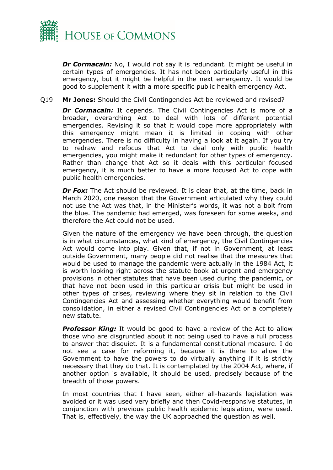

*Dr Cormacain:* No, I would not say it is redundant. It might be useful in certain types of emergencies. It has not been particularly useful in this emergency, but it might be helpful in the next emergency. It would be good to supplement it with a more specific public health emergency Act.

#### Q19 **Mr Jones:** Should the Civil Contingencies Act be reviewed and revised?

**Dr Cormacain:** It depends. The Civil Contingencies Act is more of a broader, overarching Act to deal with lots of different potential emergencies. Revising it so that it would cope more appropriately with this emergency might mean it is limited in coping with other emergencies. There is no difficulty in having a look at it again. If you try to redraw and refocus that Act to deal only with public health emergencies, you might make it redundant for other types of emergency. Rather than change that Act so it deals with this particular focused emergency, it is much better to have a more focused Act to cope with public health emergencies.

**Dr Fox:** The Act should be reviewed. It is clear that, at the time, back in March 2020, one reason that the Government articulated why they could not use the Act was that, in the Minister's words, it was not a bolt from the blue. The pandemic had emerged, was foreseen for some weeks, and therefore the Act could not be used.

Given the nature of the emergency we have been through, the question is in what circumstances, what kind of emergency, the Civil Contingencies Act would come into play. Given that, if not in Government, at least outside Government, many people did not realise that the measures that would be used to manage the pandemic were actually in the 1984 Act, it is worth looking right across the statute book at urgent and emergency provisions in other statutes that have been used during the pandemic, or that have not been used in this particular crisis but might be used in other types of crises, reviewing where they sit in relation to the Civil Contingencies Act and assessing whether everything would benefit from consolidation, in either a revised Civil Contingencies Act or a completely new statute.

*Professor King:* It would be good to have a review of the Act to allow those who are disgruntled about it not being used to have a full process to answer that disquiet. It is a fundamental constitutional measure. I do not see a case for reforming it, because it is there to allow the Government to have the powers to do virtually anything if it is strictly necessary that they do that. It is contemplated by the 2004 Act, where, if another option is available, it should be used, precisely because of the breadth of those powers.

In most countries that I have seen, either all-hazards legislation was avoided or it was used very briefly and then Covid-responsive statutes, in conjunction with previous public health epidemic legislation, were used. That is, effectively, the way the UK approached the question as well.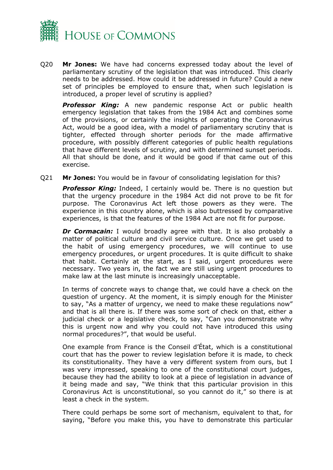

Q20 **Mr Jones:** We have had concerns expressed today about the level of parliamentary scrutiny of the legislation that was introduced. This clearly needs to be addressed. How could it be addressed in future? Could a new set of principles be employed to ensure that, when such legislation is introduced, a proper level of scrutiny is applied?

*Professor King:* A new pandemic response Act or public health emergency legislation that takes from the 1984 Act and combines some of the provisions, or certainly the insights of operating the Coronavirus Act, would be a good idea, with a model of parliamentary scrutiny that is tighter, effected through shorter periods for the made affirmative procedure, with possibly different categories of public health regulations that have different levels of scrutiny, and with determined sunset periods. All that should be done, and it would be good if that came out of this exercise.

Q21 **Mr Jones:** You would be in favour of consolidating legislation for this?

**Professor King:** Indeed, I certainly would be. There is no question but that the urgency procedure in the 1984 Act did not prove to be fit for purpose. The Coronavirus Act left those powers as they were. The experience in this country alone, which is also buttressed by comparative experiences, is that the features of the 1984 Act are not fit for purpose.

*Dr Cormacain:* I would broadly agree with that. It is also probably a matter of political culture and civil service culture. Once we get used to the habit of using emergency procedures, we will continue to use emergency procedures, or urgent procedures. It is quite difficult to shake that habit. Certainly at the start, as I said, urgent procedures were necessary. Two years in, the fact we are still using urgent procedures to make law at the last minute is increasingly unacceptable.

In terms of concrete ways to change that, we could have a check on the question of urgency. At the moment, it is simply enough for the Minister to say, "As a matter of urgency, we need to make these regulations now" and that is all there is. If there was some sort of check on that, either a judicial check or a legislative check, to say, "Can you demonstrate why this is urgent now and why you could not have introduced this using normal procedures?", that would be useful.

One example from France is the Conseil d'État, which is a constitutional court that has the power to review legislation before it is made, to check its constitutionality. They have a very different system from ours, but I was very impressed, speaking to one of the constitutional court judges, because they had the ability to look at a piece of legislation in advance of it being made and say, "We think that this particular provision in this Coronavirus Act is unconstitutional, so you cannot do it," so there is at least a check in the system.

There could perhaps be some sort of mechanism, equivalent to that, for saying, "Before you make this, you have to demonstrate this particular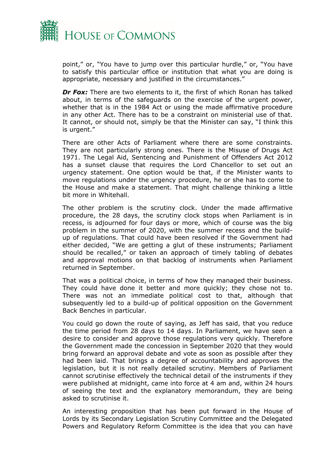

point," or, "You have to jump over this particular hurdle," or, "You have to satisfy this particular office or institution that what you are doing is appropriate, necessary and justified in the circumstances."

*Dr Fox:* There are two elements to it, the first of which Ronan has talked about, in terms of the safeguards on the exercise of the urgent power, whether that is in the 1984 Act or using the made affirmative procedure in any other Act. There has to be a constraint on ministerial use of that. It cannot, or should not, simply be that the Minister can say, "I think this is urgent."

There are other Acts of Parliament where there are some constraints. They are not particularly strong ones. There is the Misuse of Drugs Act 1971. The Legal Aid, Sentencing and Punishment of Offenders Act 2012 has a sunset clause that requires the Lord Chancellor to set out an urgency statement. One option would be that, if the Minister wants to move regulations under the urgency procedure, he or she has to come to the House and make a statement. That might challenge thinking a little bit more in Whitehall.

The other problem is the scrutiny clock. Under the made affirmative procedure, the 28 days, the scrutiny clock stops when Parliament is in recess, is adjourned for four days or more, which of course was the big problem in the summer of 2020, with the summer recess and the buildup of regulations. That could have been resolved if the Government had either decided, "We are getting a glut of these instruments; Parliament should be recalled," or taken an approach of timely tabling of debates and approval motions on that backlog of instruments when Parliament returned in September.

That was a political choice, in terms of how they managed their business. They could have done it better and more quickly; they chose not to. There was not an immediate political cost to that, although that subsequently led to a build-up of political opposition on the Government Back Benches in particular.

You could go down the route of saying, as Jeff has said, that you reduce the time period from 28 days to 14 days. In Parliament, we have seen a desire to consider and approve those regulations very quickly. Therefore the Government made the concession in September 2020 that they would bring forward an approval debate and vote as soon as possible after they had been laid. That brings a degree of accountability and approves the legislation, but it is not really detailed scrutiny. Members of Parliament cannot scrutinise effectively the technical detail of the instruments if they were published at midnight, came into force at 4 am and, within 24 hours of seeing the text and the explanatory memorandum, they are being asked to scrutinise it.

An interesting proposition that has been put forward in the House of Lords by its Secondary Legislation Scrutiny Committee and the Delegated Powers and Regulatory Reform Committee is the idea that you can have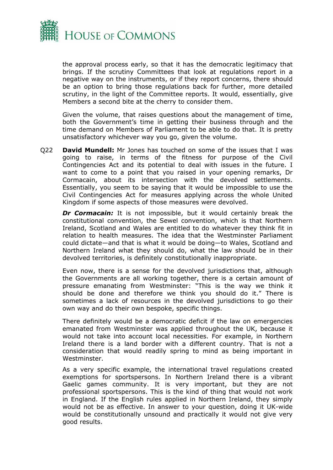

the approval process early, so that it has the democratic legitimacy that brings. If the scrutiny Committees that look at regulations report in a negative way on the instruments, or if they report concerns, there should be an option to bring those regulations back for further, more detailed scrutiny, in the light of the Committee reports. It would, essentially, give Members a second bite at the cherry to consider them.

Given the volume, that raises questions about the management of time, both the Government's time in getting their business through and the time demand on Members of Parliament to be able to do that. It is pretty unsatisfactory whichever way you go, given the volume.

Q22 **David Mundell:** Mr Jones has touched on some of the issues that I was going to raise, in terms of the fitness for purpose of the Civil Contingencies Act and its potential to deal with issues in the future. I want to come to a point that you raised in your opening remarks, Dr Cormacain, about its intersection with the devolved settlements. Essentially, you seem to be saying that it would be impossible to use the Civil Contingencies Act for measures applying across the whole United Kingdom if some aspects of those measures were devolved.

**Dr Cormacain:** It is not impossible, but it would certainly break the constitutional convention, the Sewel convention, which is that Northern Ireland, Scotland and Wales are entitled to do whatever they think fit in relation to health measures. The idea that the Westminster Parliament could dictate—and that is what it would be doing—to Wales, Scotland and Northern Ireland what they should do, what the law should be in their devolved territories, is definitely constitutionally inappropriate.

Even now, there is a sense for the devolved jurisdictions that, although the Governments are all working together, there is a certain amount of pressure emanating from Westminster: "This is the way we think it should be done and therefore we think you should do it." There is sometimes a lack of resources in the devolved jurisdictions to go their own way and do their own bespoke, specific things.

There definitely would be a democratic deficit if the law on emergencies emanated from Westminster was applied throughout the UK, because it would not take into account local necessities. For example, in Northern Ireland there is a land border with a different country. That is not a consideration that would readily spring to mind as being important in Westminster.

As a very specific example, the international travel regulations created exemptions for sportspersons. In Northern Ireland there is a vibrant Gaelic games community. It is very important, but they are not professional sportspersons. This is the kind of thing that would not work in England. If the English rules applied in Northern Ireland, they simply would not be as effective. In answer to your question, doing it UK-wide would be constitutionally unsound and practically it would not give very good results.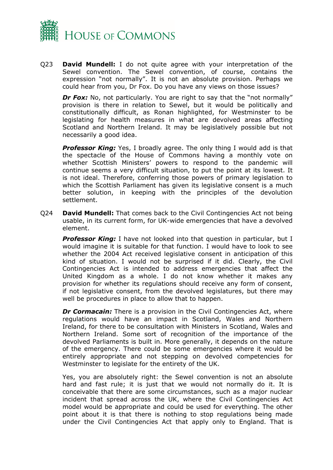

Q23 **David Mundell:** I do not quite agree with your interpretation of the Sewel convention. The Sewel convention, of course, contains the expression "not normally". It is not an absolute provision. Perhaps we could hear from you, Dr Fox. Do you have any views on those issues?

*Dr Fox:* No, not particularly. You are right to say that the "not normally" provision is there in relation to Sewel, but it would be politically and constitutionally difficult, as Ronan highlighted, for Westminster to be legislating for health measures in what are devolved areas affecting Scotland and Northern Ireland. It may be legislatively possible but not necessarily a good idea.

**Professor King:** Yes, I broadly agree. The only thing I would add is that the spectacle of the House of Commons having a monthly vote on whether Scottish Ministers' powers to respond to the pandemic will continue seems a very difficult situation, to put the point at its lowest. It is not ideal. Therefore, conferring those powers of primary legislation to which the Scottish Parliament has given its legislative consent is a much better solution, in keeping with the principles of the devolution settlement.

Q24 **David Mundell:** That comes back to the Civil Contingencies Act not being usable, in its current form, for UK-wide emergencies that have a devolved element.

**Professor King:** I have not looked into that question in particular, but I would imagine it is suitable for that function. I would have to look to see whether the 2004 Act received legislative consent in anticipation of this kind of situation. I would not be surprised if it did. Clearly, the Civil Contingencies Act is intended to address emergencies that affect the United Kingdom as a whole. I do not know whether it makes any provision for whether its regulations should receive any form of consent, if not legislative consent, from the devolved legislatures, but there may well be procedures in place to allow that to happen.

*Dr Cormacain:* There is a provision in the Civil Contingencies Act, where regulations would have an impact in Scotland, Wales and Northern Ireland, for there to be consultation with Ministers in Scotland, Wales and Northern Ireland. Some sort of recognition of the importance of the devolved Parliaments is built in. More generally, it depends on the nature of the emergency. There could be some emergencies where it would be entirely appropriate and not stepping on devolved competencies for Westminster to legislate for the entirety of the UK.

Yes, you are absolutely right: the Sewel convention is not an absolute hard and fast rule; it is just that we would not normally do it. It is conceivable that there are some circumstances, such as a major nuclear incident that spread across the UK, where the Civil Contingencies Act model would be appropriate and could be used for everything. The other point about it is that there is nothing to stop regulations being made under the Civil Contingencies Act that apply only to England. That is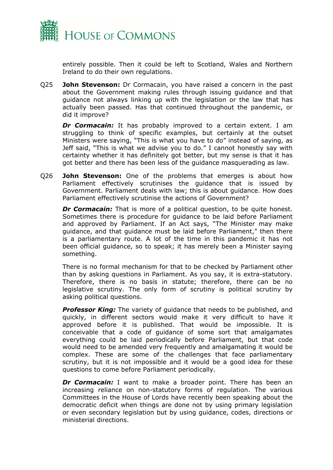

entirely possible. Then it could be left to Scotland, Wales and Northern Ireland to do their own regulations.

Q25 **John Stevenson:** Dr Cormacain, you have raised a concern in the past about the Government making rules through issuing guidance and that guidance not always linking up with the legislation or the law that has actually been passed. Has that continued throughout the pandemic, or did it improve?

**Dr Cormacain:** It has probably improved to a certain extent. I am struggling to think of specific examples, but certainly at the outset Ministers were saying, "This is what you have to do" instead of saying, as Jeff said, "This is what we advise you to do." I cannot honestly say with certainty whether it has definitely got better, but my sense is that it has got better and there has been less of the guidance masquerading as law.

Q26 **John Stevenson:** One of the problems that emerges is about how Parliament effectively scrutinises the guidance that is issued by Government. Parliament deals with law; this is about guidance. How does Parliament effectively scrutinise the actions of Government?

*Dr Cormacain:* That is more of a political question, to be quite honest. Sometimes there is procedure for guidance to be laid before Parliament and approved by Parliament. If an Act says, "The Minister may make guidance, and that guidance must be laid before Parliament," then there is a parliamentary route. A lot of the time in this pandemic it has not been official guidance, so to speak; it has merely been a Minister saying something.

There is no formal mechanism for that to be checked by Parliament other than by asking questions in Parliament. As you say, it is extra-statutory. Therefore, there is no basis in statute; therefore, there can be no legislative scrutiny. The only form of scrutiny is political scrutiny by asking political questions.

*Professor King:* The variety of guidance that needs to be published, and quickly, in different sectors would make it very difficult to have it approved before it is published. That would be impossible. It is conceivable that a code of guidance of some sort that amalgamates everything could be laid periodically before Parliament, but that code would need to be amended very frequently and amalgamating it would be complex. These are some of the challenges that face parliamentary scrutiny, but it is not impossible and it would be a good idea for these questions to come before Parliament periodically.

**Dr Cormacain:** I want to make a broader point. There has been an increasing reliance on non-statutory forms of regulation. The various Committees in the House of Lords have recently been speaking about the democratic deficit when things are done not by using primary legislation or even secondary legislation but by using guidance, codes, directions or ministerial directions.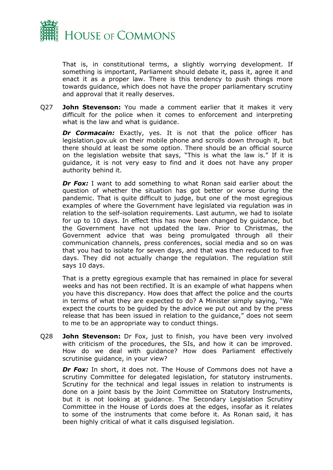

That is, in constitutional terms, a slightly worrying development. If something is important, Parliament should debate it, pass it, agree it and enact it as a proper law. There is this tendency to push things more towards guidance, which does not have the proper parliamentary scrutiny and approval that it really deserves.

Q27 **John Stevenson:** You made a comment earlier that it makes it very difficult for the police when it comes to enforcement and interpreting what is the law and what is guidance.

**Dr Cormacain:** Exactly, yes. It is not that the police officer has legislation.gov.uk on their mobile phone and scrolls down through it, but there should at least be some option. There should be an official source on the legislation website that says, "This is what the law is." If it is guidance, it is not very easy to find and it does not have any proper authority behind it.

*Dr Fox:* I want to add something to what Ronan said earlier about the question of whether the situation has got better or worse during the pandemic. That is quite difficult to judge, but one of the most egregious examples of where the Government have legislated via regulation was in relation to the self-isolation requirements. Last autumn, we had to isolate for up to 10 days. In effect this has now been changed by guidance, but the Government have not updated the law. Prior to Christmas, the Government advice that was being promulgated through all their communication channels, press conferences, social media and so on was that you had to isolate for seven days, and that was then reduced to five days. They did not actually change the regulation. The regulation still says 10 days.

That is a pretty egregious example that has remained in place for several weeks and has not been rectified. It is an example of what happens when you have this discrepancy. How does that affect the police and the courts in terms of what they are expected to do? A Minister simply saying, "We expect the courts to be guided by the advice we put out and by the press release that has been issued in relation to the guidance," does not seem to me to be an appropriate way to conduct things.

Q28 **John Stevenson:** Dr Fox, just to finish, you have been very involved with criticism of the procedures, the SIs, and how it can be improved. How do we deal with guidance? How does Parliament effectively scrutinise guidance, in your view?

*Dr Fox:* In short, it does not. The House of Commons does not have a scrutiny Committee for delegated legislation, for statutory instruments. Scrutiny for the technical and legal issues in relation to instruments is done on a joint basis by the Joint Committee on Statutory Instruments, but it is not looking at guidance. The Secondary Legislation Scrutiny Committee in the House of Lords does at the edges, insofar as it relates to some of the instruments that come before it. As Ronan said, it has been highly critical of what it calls disguised legislation.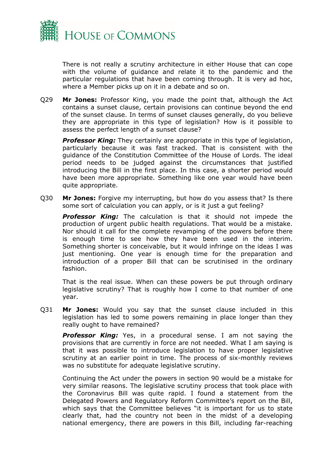

There is not really a scrutiny architecture in either House that can cope with the volume of guidance and relate it to the pandemic and the particular regulations that have been coming through. It is very ad hoc, where a Member picks up on it in a debate and so on.

Q29 **Mr Jones:** Professor King, you made the point that, although the Act contains a sunset clause, certain provisions can continue beyond the end of the sunset clause. In terms of sunset clauses generally, do you believe they are appropriate in this type of legislation? How is it possible to assess the perfect length of a sunset clause?

**Professor King:** They certainly are appropriate in this type of legislation, particularly because it was fast tracked. That is consistent with the guidance of the Constitution Committee of the House of Lords. The ideal period needs to be judged against the circumstances that justified introducing the Bill in the first place. In this case, a shorter period would have been more appropriate. Something like one year would have been quite appropriate.

Q30 **Mr Jones:** Forgive my interrupting, but how do you assess that? Is there some sort of calculation you can apply, or is it just a gut feeling?

*Professor King:* The calculation is that it should not impede the production of urgent public health regulations. That would be a mistake. Nor should it call for the complete revamping of the powers before there is enough time to see how they have been used in the interim. Something shorter is conceivable, but it would infringe on the ideas I was just mentioning. One year is enough time for the preparation and introduction of a proper Bill that can be scrutinised in the ordinary fashion.

That is the real issue. When can these powers be put through ordinary legislative scrutiny? That is roughly how I come to that number of one year.

Q31 **Mr Jones:** Would you say that the sunset clause included in this legislation has led to some powers remaining in place longer than they really ought to have remained?

**Professor King:** Yes, in a procedural sense. I am not saying the provisions that are currently in force are not needed. What I am saying is that it was possible to introduce legislation to have proper legislative scrutiny at an earlier point in time. The process of six-monthly reviews was no substitute for adequate legislative scrutiny.

Continuing the Act under the powers in section 90 would be a mistake for very similar reasons. The legislative scrutiny process that took place with the Coronavirus Bill was quite rapid. I found a statement from the Delegated Powers and Regulatory Reform Committee's report on the Bill, which says that the Committee believes "it is important for us to state clearly that, had the country not been in the midst of a developing national emergency, there are powers in this Bill, including far-reaching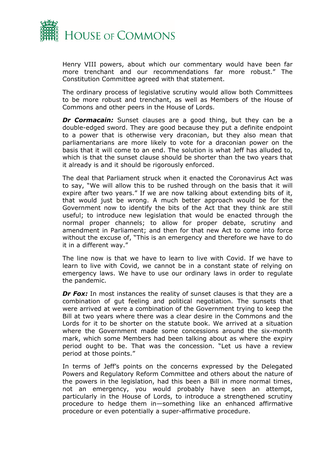

Henry VIII powers, about which our commentary would have been far more trenchant and our recommendations far more robust." The Constitution Committee agreed with that statement.

The ordinary process of legislative scrutiny would allow both Committees to be more robust and trenchant, as well as Members of the House of Commons and other peers in the House of Lords.

*Dr Cormacain:* Sunset clauses are a good thing, but they can be a double-edged sword. They are good because they put a definite endpoint to a power that is otherwise very draconian, but they also mean that parliamentarians are more likely to vote for a draconian power on the basis that it will come to an end. The solution is what Jeff has alluded to, which is that the sunset clause should be shorter than the two years that it already is and it should be rigorously enforced.

The deal that Parliament struck when it enacted the Coronavirus Act was to say, "We will allow this to be rushed through on the basis that it will expire after two years." If we are now talking about extending bits of it, that would just be wrong. A much better approach would be for the Government now to identify the bits of the Act that they think are still useful; to introduce new legislation that would be enacted through the normal proper channels; to allow for proper debate, scrutiny and amendment in Parliament; and then for that new Act to come into force without the excuse of, "This is an emergency and therefore we have to do it in a different way."

The line now is that we have to learn to live with Covid. If we have to learn to live with Covid, we cannot be in a constant state of relying on emergency laws. We have to use our ordinary laws in order to regulate the pandemic.

**Dr Fox:** In most instances the reality of sunset clauses is that they are a combination of gut feeling and political negotiation. The sunsets that were arrived at were a combination of the Government trying to keep the Bill at two years where there was a clear desire in the Commons and the Lords for it to be shorter on the statute book. We arrived at a situation where the Government made some concessions around the six-month mark, which some Members had been talking about as where the expiry period ought to be. That was the concession. "Let us have a review period at those points."

In terms of Jeff's points on the concerns expressed by the Delegated Powers and Regulatory Reform Committee and others about the nature of the powers in the legislation, had this been a Bill in more normal times, not an emergency, you would probably have seen an attempt, particularly in the House of Lords, to introduce a strengthened scrutiny procedure to hedge them in—something like an enhanced affirmative procedure or even potentially a super-affirmative procedure.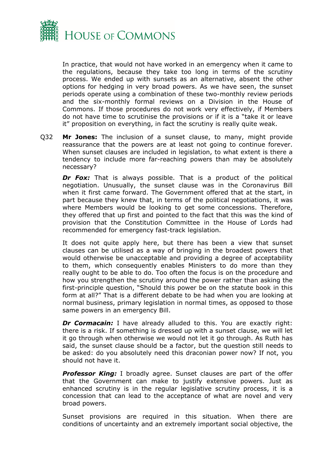

In practice, that would not have worked in an emergency when it came to the regulations, because they take too long in terms of the scrutiny process. We ended up with sunsets as an alternative, absent the other options for hedging in very broad powers. As we have seen, the sunset periods operate using a combination of these two-monthly review periods and the six-monthly formal reviews on a Division in the House of Commons. If those procedures do not work very effectively, if Members do not have time to scrutinise the provisions or if it is a "take it or leave it" proposition on everything, in fact the scrutiny is really quite weak.

Q32 **Mr Jones:** The inclusion of a sunset clause, to many, might provide reassurance that the powers are at least not going to continue forever. When sunset clauses are included in legislation, to what extent is there a tendency to include more far-reaching powers than may be absolutely necessary?

**Dr Fox:** That is always possible. That is a product of the political negotiation. Unusually, the sunset clause was in the Coronavirus Bill when it first came forward. The Government offered that at the start, in part because they knew that, in terms of the political negotiations, it was where Members would be looking to get some concessions. Therefore, they offered that up first and pointed to the fact that this was the kind of provision that the Constitution Committee in the House of Lords had recommended for emergency fast-track legislation.

It does not quite apply here, but there has been a view that sunset clauses can be utilised as a way of bringing in the broadest powers that would otherwise be unacceptable and providing a degree of acceptability to them, which consequently enables Ministers to do more than they really ought to be able to do. Too often the focus is on the procedure and how you strengthen the scrutiny around the power rather than asking the first-principle question, "Should this power be on the statute book in this form at all?" That is a different debate to be had when you are looking at normal business, primary legislation in normal times, as opposed to those same powers in an emergency Bill.

*Dr Cormacain:* I have already alluded to this. You are exactly right: there is a risk. If something is dressed up with a sunset clause, we will let it go through when otherwise we would not let it go through. As Ruth has said, the sunset clause should be a factor, but the question still needs to be asked: do you absolutely need this draconian power now? If not, you should not have it.

**Professor King:** I broadly agree. Sunset clauses are part of the offer that the Government can make to justify extensive powers. Just as enhanced scrutiny is in the regular legislative scrutiny process, it is a concession that can lead to the acceptance of what are novel and very broad powers.

Sunset provisions are required in this situation. When there are conditions of uncertainty and an extremely important social objective, the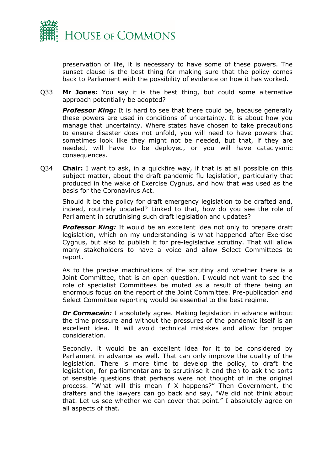

preservation of life, it is necessary to have some of these powers. The sunset clause is the best thing for making sure that the policy comes back to Parliament with the possibility of evidence on how it has worked.

Q33 **Mr Jones:** You say it is the best thing, but could some alternative approach potentially be adopted?

**Professor King:** It is hard to see that there could be, because generally these powers are used in conditions of uncertainty. It is about how you manage that uncertainty. Where states have chosen to take precautions to ensure disaster does not unfold, you will need to have powers that sometimes look like they might not be needed, but that, if they are needed, will have to be deployed, or you will have cataclysmic consequences.

Q34 **Chair:** I want to ask, in a quickfire way, if that is at all possible on this subject matter, about the draft pandemic flu legislation, particularly that produced in the wake of Exercise Cygnus, and how that was used as the basis for the Coronavirus Act.

Should it be the policy for draft emergency legislation to be drafted and, indeed, routinely updated? Linked to that, how do you see the role of Parliament in scrutinising such draft legislation and updates?

**Professor King:** It would be an excellent idea not only to prepare draft legislation, which on my understanding is what happened after Exercise Cygnus, but also to publish it for pre-legislative scrutiny. That will allow many stakeholders to have a voice and allow Select Committees to report.

As to the precise machinations of the scrutiny and whether there is a Joint Committee, that is an open question. I would not want to see the role of specialist Committees be muted as a result of there being an enormous focus on the report of the Joint Committee. Pre-publication and Select Committee reporting would be essential to the best regime.

**Dr Cormacain:** I absolutely agree. Making legislation in advance without the time pressure and without the pressures of the pandemic itself is an excellent idea. It will avoid technical mistakes and allow for proper consideration.

Secondly, it would be an excellent idea for it to be considered by Parliament in advance as well. That can only improve the quality of the legislation. There is more time to develop the policy, to draft the legislation, for parliamentarians to scrutinise it and then to ask the sorts of sensible questions that perhaps were not thought of in the original process. "What will this mean if X happens?" Then Government, the drafters and the lawyers can go back and say, "We did not think about that. Let us see whether we can cover that point." I absolutely agree on all aspects of that.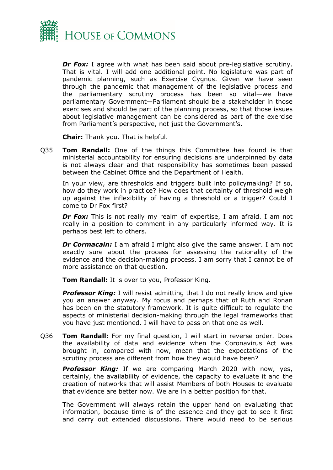

*Dr Fox:* I agree with what has been said about pre-legislative scrutiny. That is vital. I will add one additional point. No legislature was part of pandemic planning, such as Exercise Cygnus. Given we have seen through the pandemic that management of the legislative process and the parliamentary scrutiny process has been so vital—we have parliamentary Government—Parliament should be a stakeholder in those exercises and should be part of the planning process, so that those issues about legislative management can be considered as part of the exercise from Parliament's perspective, not just the Government's.

**Chair:** Thank you. That is helpful.

Q35 **Tom Randall:** One of the things this Committee has found is that ministerial accountability for ensuring decisions are underpinned by data is not always clear and that responsibility has sometimes been passed between the Cabinet Office and the Department of Health.

In your view, are thresholds and triggers built into policymaking? If so, how do they work in practice? How does that certainty of threshold weigh up against the inflexibility of having a threshold or a trigger? Could I come to Dr Fox first?

*Dr Fox:* This is not really my realm of expertise, I am afraid. I am not really in a position to comment in any particularly informed way. It is perhaps best left to others.

*Dr Cormacain:* I am afraid I might also give the same answer. I am not exactly sure about the process for assessing the rationality of the evidence and the decision-making process. I am sorry that I cannot be of more assistance on that question.

**Tom Randall:** It is over to you, Professor King.

**Professor King:** I will resist admitting that I do not really know and give you an answer anyway. My focus and perhaps that of Ruth and Ronan has been on the statutory framework. It is quite difficult to regulate the aspects of ministerial decision-making through the legal frameworks that you have just mentioned. I will have to pass on that one as well.

Q36 **Tom Randall:** For my final question, I will start in reverse order. Does the availability of data and evidence when the Coronavirus Act was brought in, compared with now, mean that the expectations of the scrutiny process are different from how they would have been?

*Professor King:* If we are comparing March 2020 with now, yes, certainly, the availability of evidence, the capacity to evaluate it and the creation of networks that will assist Members of both Houses to evaluate that evidence are better now. We are in a better position for that.

The Government will always retain the upper hand on evaluating that information, because time is of the essence and they get to see it first and carry out extended discussions. There would need to be serious